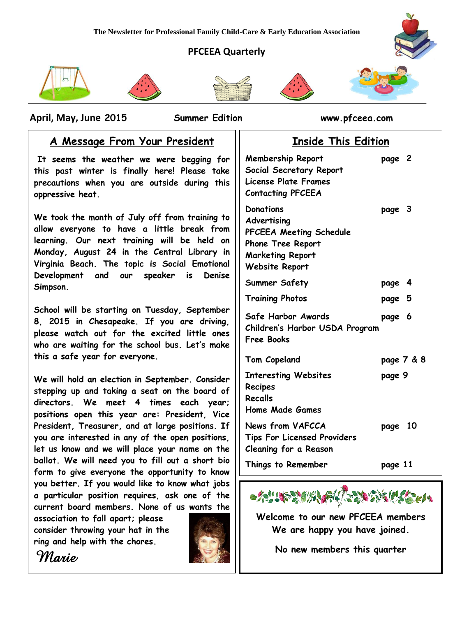# **PFCEEA Quarterly**











 **April, May, June 2015 Summer Edition www.pfceea.com**

# **A Message From Your President**

**It seems the weather we were begging for this past winter is finally here! Please take precautions when you are outside during this oppressive heat.**

**We took the month of July off from training to allow everyone to have a little break from learning. Our next training will be held on Monday, August 24 in the Central Library in Virginia Beach. The topic is Social Emotional Development and our speaker is Denise Simpson.**

**School will be starting on Tuesday, September 8, 2015 in Chesapeake. If you are driving, please watch out for the excited little ones who are waiting for the school bus. Let's make this a safe year for everyone.** 

**We will hold an election in September. Consider stepping up and taking a seat on the board of directors. We meet 4 times each year; positions open this year are: President, Vice President, Treasurer, and at large positions. If you are interested in any of the open positions, let us know and we will place your name on the ballot. We will need you to fill out a short bio form to give everyone the opportunity to know you better. If you would like to know what jobs a particular position requires, ask one of the current board members. None of us wants the** 

**association to fall apart; please consider throwing your hat in the ring and help with the chores.**

*Marie* 



**Inside This Edition**

| <b>Membership Report</b><br>Social Secretary Report<br><b>License Plate Frames</b><br><b>Contacting PFCEEA</b>                      | page 2  |            |
|-------------------------------------------------------------------------------------------------------------------------------------|---------|------------|
| Donations<br>Advertising<br>PFCEEA Meeting Schedule<br><b>Phone Tree Report</b><br><b>Marketing Report</b><br><b>Website Report</b> | page 3  |            |
| <b>Summer Safety</b>                                                                                                                | page 4  |            |
| <b>Training Photos</b>                                                                                                              | page 5  |            |
| Safe Harbor Awards<br>Children's Harbor USDA Program<br><b>Free Books</b>                                                           | page 6  |            |
| <b>Tom Copeland</b>                                                                                                                 |         | page 7 & 8 |
| <b>Interesting Websites</b><br>Recipes<br>Recalls<br><b>Home Made Games</b>                                                         | page 9  |            |
| News from VAFCCA<br><b>Tips For Licensed Providers</b><br><b>Cleaning for a Reason</b>                                              | page 10 |            |
| Things to Remember                                                                                                                  | page 11 |            |



**Welcome to our new PFCEEA members We are happy you have joined.**

**No new members this quarter**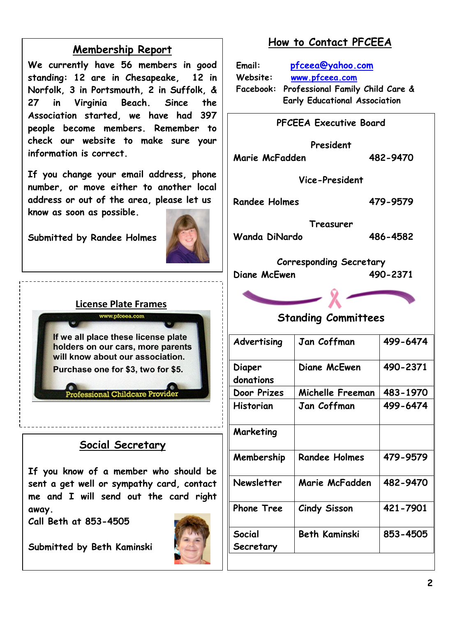# **Membership Report**

**We currently have 56 members in good standing: 12 are in Chesapeake, 12 in Norfolk, 3 in Portsmouth, 2 in Suffolk, & 27 in Virginia Beach. Since the Association started, we have had 397 people become members. Remember to check our website to make sure your information is correct.** 

**If you change your email address, phone number, or move either to another local address or out of the area, please let us know as soon as possible.**

**Submitted by Randee Holmes**



#### **License Plate Frames** www.pfceea.com

If we all place these license plate holders on our cars, more parents will know about our association. Purchase one for \$3, two for \$5.

# **fessional Childcare Provi**

# **Social Secretary**

**If you know of a member who should be sent a get well or sympathy card, contact me and I will send out the card right away.**

**Call Beth at 853-4505**

**Submitted by Beth Kaminski**



**Social** 

**Secretary**

# **How to Contact PFCEEA**

**Email: [pfceea@yahoo.com](mailto:pfceea@yahoo.com) Website: [www.pfceea.com](http://www.pfceea.com/) Facebook: Professional Family Child Care & Early Educational Association**

|                                                            | <b>PFCEEA Executive Board</b> |          |  |
|------------------------------------------------------------|-------------------------------|----------|--|
| President<br>Marie McFadden                                |                               | 482-9470 |  |
|                                                            | Vice-President                |          |  |
| <b>Randee Holmes</b>                                       |                               | 479-9579 |  |
| Treasurer<br><b>Wanda DiNardo</b>                          |                               | 486-4582 |  |
| <b>Corresponding Secretary</b><br>490-2371<br>Diane McEwen |                               |          |  |
|                                                            |                               |          |  |
| <b>Standing Committees</b>                                 |                               |          |  |
| Advertising                                                | Jan Coffman                   | 499-6474 |  |
| Diaper<br>donations                                        | Diane McEwen                  | 490-2371 |  |
| Door Prizes                                                | Michelle Freeman              | 483-1970 |  |
| <b>Historian</b>                                           | Jan Coffman                   | 499-6474 |  |
| Marketing                                                  |                               |          |  |
| Membership                                                 | <b>Randee Holmes</b>          | 479-9579 |  |
| <b>Newsletter</b>                                          | Marie McFadden                | 482-9470 |  |
| <b>Phone Tree</b>                                          | <b>Cindy Sisson</b>           | 421-7901 |  |

**Beth Kaminski 853-4505**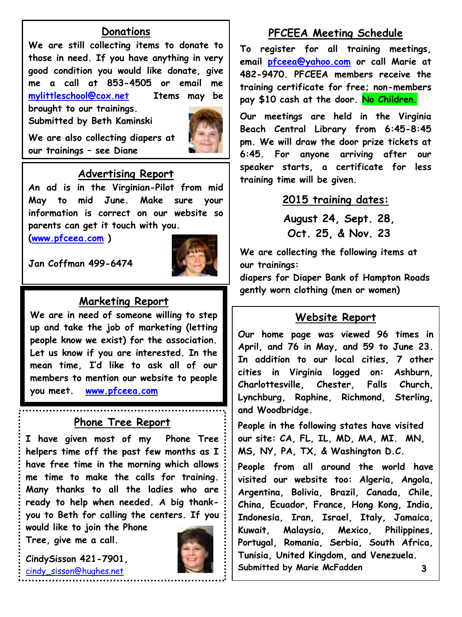# **Donations**

**We are still collecting items to donate to those in need. If you have anything in very good condition you would like donate, give me a call at 853-4505 or email me [mylittleschool@cox.net](mailto:mylittleschool@cox.net) Items may be brought to our trainings.**

**Submitted by Beth Kaminski**



**We are also collecting diapers at our trainings – see Diane**

# **Advertising Report**

**An ad is in the Virginian-Pilot from mid May to mid June. Make sure your information is correct on our website so parents can get it touch with you.** 

**[\(www.pfceea.com](http://www.pfceea.com/) )**



**Jan Coffman 499-6474**

# **Marketing Report**

**We are in need of someone willing to step up and take the job of marketing (letting people know we exist) for the association. Let us know if you are interested. In the mean time, I'd like to ask all of our members to mention our website to people you meet. [www.pfceea.com](http://www.pfceea.com/)**

# **Phone Tree Report**

**I have given most of my Phone Tree helpers time off the past few months as I have free time in the morning which allows me time to make the calls for training. Many thanks to all the ladies who are ready to help when needed. A big thankyou to Beth for calling the centers. If you** 

**would like to join the Phone Tree, give me a call.** 

**CindySisson 421-7901,**  [cindy\\_sisson@hughes.net](mailto:cindy_sisson@hughes.net)

**Phone Tree Chairwoman**



# **PFCEEA Meeting Schedule**

**To register for all training meetings, email [pfceea@yahoo.com](mailto:pfceea@yahoo.com) or call Marie at 482-9470. PFCEEA members receive the training certificate for free; non-members pay \$10 cash at the door. No Children.**

**Our meetings are held in the Virginia Beach Central Library from 6:45-8:45 pm. We will draw the door prize tickets at 6:45. For anyone arriving after our speaker starts, a certificate for less training time will be given.** 

### **2015 training dates:**

**August 24, Sept. 28, Oct. 25, & Nov. 23**

**We are collecting the following items at our trainings:**

**diapers for Diaper Bank of Hampton Roads gently worn clothing (men or women)**

# **Website Report**

**Our home page was viewed 96 times in April, and 76 in May, and 59 to June 23. In addition to our local cities, 7 other cities in Virginia logged on: Ashburn, Charlottesville, Chester, Falls Church, Lynchburg, Raphine, Richmond, Sterling, and Woodbridge.** 

**People in the following states have visited our site: CA, FL, IL, MD, MA, MI. MN, MS, NY, PA, TX, & Washington D.C.** 

**People from all around the world have visited our website too: Algeria, Angola, Argentina, Bolivia, Brazil, Canada, Chile, China, Ecuador, France, Hong Kong, India, Indonesia, Iran, Israel, Italy, Jamaica, Kuwait, Malaysia, Mexico, Philippines, Portugal, Romania, Serbia, South Africa, Tunisia, United Kingdom, and Venezuela. Submitted by Marie McFadden 3**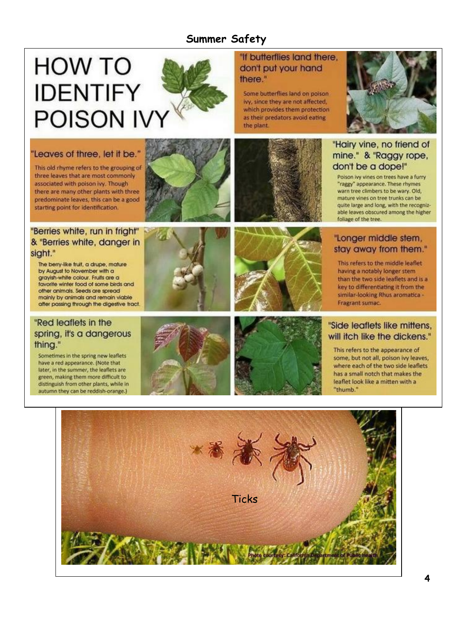# **Summer Safety**

# **HOW TO IDENTIFY POISON IVY**

#### "Leaves of three, let it be."

This old rhyme refers to the grouping of three leaves that are most commonly associated with poison ivy. Though there are many other plants with three predominate leaves, this can be a good starting point for identification.

#### "Berries white, run in fright" & "Berries white, danger in sight."

The berry-like fruit, a drupe, mature by August to November with a grayish-white colour. Fruits are a favorite winter food of some birds and other animals. Seeds are spread mainly by animals and remain viable after passing through the digestive tract.

#### "Red leaflets in the spring, it's a dangerous thing."

Sometimes in the spring new leaflets have a red appearance. (Note that later, in the summer, the leaflets are green, making them more difficult to distinguish from other plants, while in autumn they can be reddish-orange.)







#### "If butterflies land there. don't put your hand there."

Some butterflies land on poison ivy, since they are not affected. which provides them protection as their predators avoid eating the plant.



### "Hairy vine, no friend of mine." & "Ragay rope. don't be a dope!"

Poison ivy vines on trees have a furry "raggy" appearance. These rhymes warn tree climbers to be wary. Old, mature vines on tree trunks can be quite large and long, with the recognizable leaves obscured among the higher foliage of the tree.

#### "Longer middle stem, stay away from them."

This refers to the middle leaflet having a notably longer stem than the two side leaflets and is a key to differentiating it from the similar-looking Rhus aromatica -Fragrant sumac.

#### "Side leaflets like mittens. will itch like the dickens."

This refers to the appearance of some, but not all, poison ivy leaves, where each of the two side leaflets has a small notch that makes the leaflet look like a mitten with a "thumb."

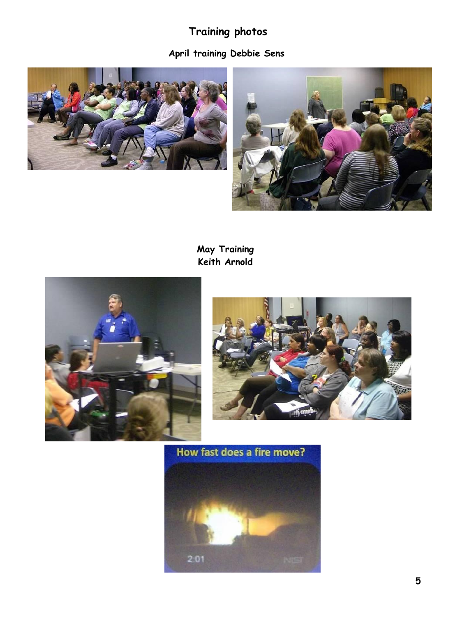# **Training photos**

# **April training Debbie Sens**





**May Training Keith Arnold**





How fast does a fire move?

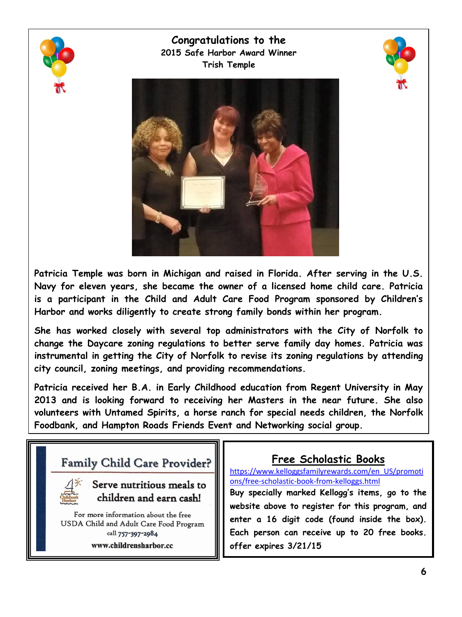

# **Congratulations to the 2015 Safe Harbor Award Winner Trish Temple**





**Patricia Temple was born in Michigan and raised in Florida. After serving in the U.S. Navy for eleven years, she became the owner of a licensed home child care. Patricia is a participant in the Child and Adult Care Food Program sponsored by Children's Harbor and works diligently to create strong family bonds within her program.** 

**She has worked closely with several top administrators with the City of Norfolk to change the Daycare zoning regulations to better serve family day homes. Patricia was instrumental in getting the City of Norfolk to revise its zoning regulations by attending city council, zoning meetings, and providing recommendations.** 

**Patricia received her B.A. in Early Childhood education from Regent University in May 2013 and is looking forward to receiving her Masters in the near future. She also volunteers with Untamed Spirits, a horse ranch for special needs children, the Norfolk Foodbank, and Hampton Roads Friends Event and Networking social group.**





Serve nutritious meals to children and earn cash!

For more information about the free USDA Child and Adult Care Food Program call 757-397-2984 www.childrensharbor.cc

# **Free Scholastic Books**

[https://www.kelloggsfamilyrewards.com/en\\_US/promoti](https://www.kelloggsfamilyrewards.com/en_US/promotions/free-scholastic-book-from-kelloggs.html) [ons/free-scholastic-book-from-kelloggs.html](https://www.kelloggsfamilyrewards.com/en_US/promotions/free-scholastic-book-from-kelloggs.html)

**Buy specially marked Kellogg's items, go to the website above to register for this program, and enter a 16 digit code (found inside the box). Each person can receive up to 20 free books. offer expires 3/21/15**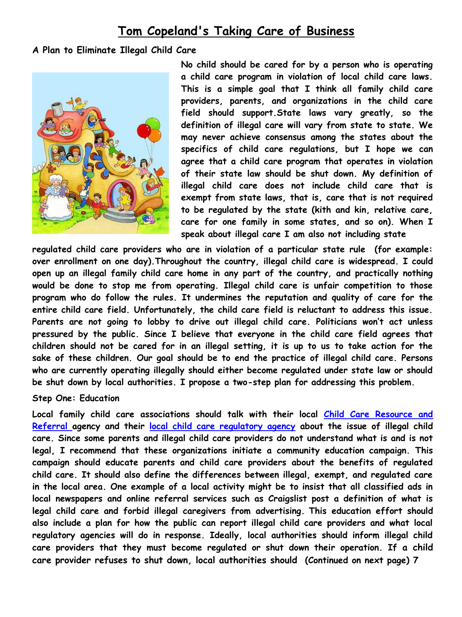# **[Tom Copeland's Taking Care of Business](http://www.tomcopelandblog.com/)**

#### **A Plan to Eliminate Illegal Child Care**



**No child should be cared for by a person who is operating a child care program in violation of local child care laws. This is a simple goal that I think all family child care providers, parents, and organizations in the child care field should support.State laws vary greatly, so the definition of illegal care will vary from state to state. We may never achieve consensus among the states about the specifics of child care regulations, but I hope we can agree that a child care program that operates in violation of their state law should be shut down. My definition of illegal child care does not include child care that is exempt from state laws, that is, care that is not required to be regulated by the state (kith and kin, relative care, care for one family in some states, and so on). When I speak about illegal care I am also not including state**

regulated child care providers who are in violation of a particular state rule (for example: **over enrollment on one day).Throughout the country, illegal child care is widespread. I could open up an illegal family child care home in any part of the country, and practically nothing would be done to stop me from operating. Illegal child care is unfair competition to those program who do follow the rules. It undermines the reputation and quality of care for the entire child care field. Unfortunately, the child care field is reluctant to address this issue. Parents are not going to lobby to drive out illegal child care. Politicians won't act unless pressured by the public. Since I believe that everyone in the child care field agrees that children should not be cared for in an illegal setting, it is up to us to take action for the sake of these children. Our goal should be to end the practice of illegal child care. Persons who are currently operating illegally should either become regulated under state law or should be shut down by local authorities. I propose a two-step plan for addressing this problem.**

#### **Step One: Education**

**Local family child care associations should talk with their local [Child Care Resource and](http://childcareaware.org/parents-and-guardians/childcarefinder#section=searchbyzip)  [Referral a](http://childcareaware.org/parents-and-guardians/childcarefinder#section=searchbyzip)gency and their [local child care regulatory agency](http://www.childcareinfo.com/KnowledgeCenter/Government/ChildCareLicensingStateHomePages.aspx) about the issue of illegal child care. Since some parents and illegal child care providers do not understand what is and is not legal, I recommend that these organizations initiate a community education campaign. This campaign should educate parents and child care providers about the benefits of regulated child care. It should also define the differences between illegal, exempt, and regulated care in the local area. One example of a local activity might be to insist that all classified ads in local newspapers and online referral services such as Craigslist post a definition of what is legal child care and forbid illegal caregivers from advertising. This education effort should also include a plan for how the public can report illegal child care providers and what local regulatory agencies will do in response. Ideally, local authorities should inform illegal child care providers that they must become regulated or shut down their operation. If a child care provider refuses to shut down, local authorities should (Continued on next page) 7**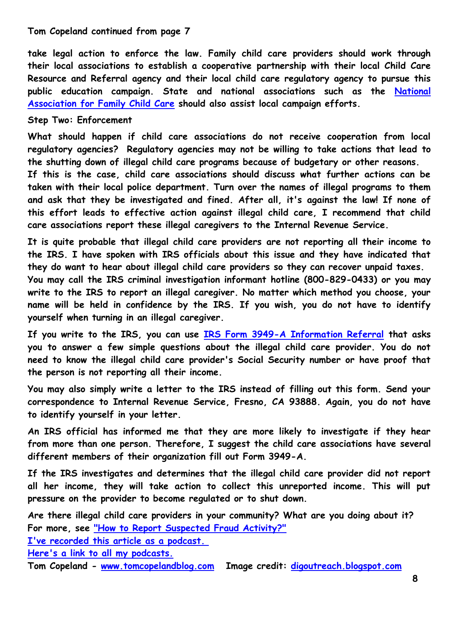#### **Tom Copeland continued from page 7**

**take legal action to enforce the law. Family child care providers should work through their local associations to establish a cooperative partnership with their local Child Care Resource and Referral agency and their local child care regulatory agency to pursue this public education campaign. State and national associations such as the [National](http://nafcc.org/)  [Association for Family Child Care](http://nafcc.org/) should also assist local campaign efforts.**

### **Step Two: Enforcement**

**What should happen if child care associations do not receive cooperation from local regulatory agencies? Regulatory agencies may not be willing to take actions that lead to the shutting down of illegal child care programs because of budgetary or other reasons. If this is the case, child care associations should discuss what further actions can be taken with their local police department. Turn over the names of illegal programs to them and ask that they be investigated and fined. After all, it's against the law! If none of this effort leads to effective action against illegal child care, I recommend that child care associations report these illegal caregivers to the Internal Revenue Service.**

**It is quite probable that illegal child care providers are not reporting all their income to the IRS. I have spoken with IRS officials about this issue and they have indicated that they do want to hear about illegal child care providers so they can recover unpaid taxes. You may call the IRS criminal investigation informant hotline (800-829-0433) or you may write to the IRS to report an illegal caregiver. No matter which method you choose, your name will be held in confidence by the IRS. If you wish, you do not have to identify yourself when turning in an illegal caregiver.**

**If you write to the IRS, you can use [IRS Form 3949-A Information Referral](http://www.irs.gov/pub/irs-pdf/f3949a.pdf) that asks you to answer a few simple questions about the illegal child care provider. You do not need to know the illegal child care provider's Social Security number or have proof that the person is not reporting all their income.**

**You may also simply write a letter to the IRS instead of filling out this form. Send your correspondence to Internal Revenue Service, Fresno, CA 93888. Again, you do not have to identify yourself in your letter.**

**An IRS official has informed me that they are more likely to investigate if they hear from more than one person. Therefore, I suggest the child care associations have several different members of their organization fill out Form 3949-A.**

**If the IRS investigates and determines that the illegal child care provider did not report all her income, they will take action to collect this unreported income. This will put pressure on the provider to become regulated or to shut down.**

**Are there illegal child care providers in your community? What are you doing about it? For more, see ["How to Report Suspected Fraud Activity?"](http://www.irs.gov/Individuals/How-Do-You-Report-Suspected-Tax-Fraud-Activity%3F)**

**[I've recorded this article as a podcast.](http://hwcdn.libsyn.com/p/8/3/3/833f5c56bc5e3187/TCOB_0015_Illegal_Child_Care_mixdown.mp3?c_id=7875642&expiration=1416326163&hwt=ca9301563fc9c215193014e5a2eda9a2)** 

**[Here's a link to all my podcasts.](https://itunes.apple.com/us/podcast/tom-copelands-taking-care/id797075743?mt=2)**

**Tom Copeland - [www.tomcopelandblog.com](http://www.tomcopelandblog.com/) Image credit: [digoutreach.blogspot.com](http://www.google.com/url?sa=i&rct=j&q=&esrc=s&source=images&cd=&ved=0CAYQjB0&url=http%3A%2F%2Fdigoutreach.blogspot.com%2F2011%2F06%2Fgods-word-is-alive-and-well-old-lady-in.html&ei=omhrVISaCNOOyATa7YCYCA&bvm=bv.79908130,d.aWw&psig=AFQjCNGLMrRCQEFc69zZzAtmGD3Q72PolQ&ust=1416411673483279)**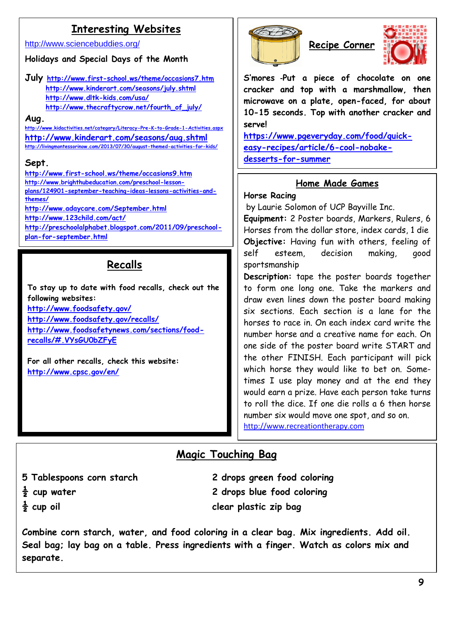# **Interesting Websites**

<http://www.sciencebuddies.org/>

**Holidays and Special Days of the Month**

**July <http://www.first-school.ws/theme/occasions7.htm> <http://www.kinderart.com/seasons/july.shtml> <http://www.dltk-kids.com/usa/> [http://www.thecraftycrow.net/fourth\\_of\\_july/](http://www.thecraftycrow.net/fourth_of_july/)**

#### **Aug.**

**<http://www.kidactivities.net/category/Literacy-Pre-K-to-Grade-1-Activities.aspx> <http://www.kinderart.com/seasons/aug.shtml> <http://livingmontessorinow.com/2013/07/30/august-themed-activities-for-kids/>**

#### **Sept.**

**<http://www.first-school.ws/theme/occasions9.htm> [http://www.brighthubeducation.com/preschool-lesson](http://www.brighthubeducation.com/preschool-lesson-plans/124901-september-teaching-ideas-lessons-activities-and-themes/)[plans/124901-september-teaching-ideas-lessons-activities-and](http://www.brighthubeducation.com/preschool-lesson-plans/124901-september-teaching-ideas-lessons-activities-and-themes/)[themes/](http://www.brighthubeducation.com/preschool-lesson-plans/124901-september-teaching-ideas-lessons-activities-and-themes/) <http://www.adaycare.com/September.html> <http://www.123child.com/act/> [http://preschoolalphabet.blogspot.com/2011/09/preschool](http://preschoolalphabet.blogspot.com/2011/09/preschool-plan-for-september.html)[plan-for-september.html](http://preschoolalphabet.blogspot.com/2011/09/preschool-plan-for-september.html)**

# **Recalls**

**To stay up to date with food recalls, check out the following websites:**

**<http://www.foodsafety.gov/> <http://www.foodsafety.gov/recalls/> [http://www.foodsafetynews.com/sections/food](http://www.foodsafetynews.com/sections/food-recalls/#.VYsGU0bZFyE)[recalls/#.VYsGU0bZFyE](http://www.foodsafetynews.com/sections/food-recalls/#.VYsGU0bZFyE)**

**For all other recalls, check this website: <http://www.cpsc.gov/en/>**



**Recipe Corner**



**S'mores -Put a piece of chocolate on one cracker and top with a marshmallow, then microwave on a plate, open-faced, for about 10-15 seconds. Top with another cracker and serve!** 

**[https://www.pgeveryday.com/food/quick](https://www.pgeveryday.com/food/quick-easy-recipes/article/6-cool-nobake-desserts-for-summer)[easy-recipes/article/6-cool-nobake](https://www.pgeveryday.com/food/quick-easy-recipes/article/6-cool-nobake-desserts-for-summer)[desserts-for-summer](https://www.pgeveryday.com/food/quick-easy-recipes/article/6-cool-nobake-desserts-for-summer)**

# **Home Made Games**

#### **Horse Racing**

by Laurie Solomon of UCP Bayville Inc.

**Equipment:** 2 Poster boards, Markers, Rulers, 6 Horses from the dollar store, index cards, 1 die **Objective:** Having fun with others, feeling of self esteem, decision making, good sportsmanship

**Description:** tape the poster boards together to form one long one. Take the markers and draw even lines down the poster board making six sections. Each section is a lane for the horses to race in. On each index card write the number horse and a creative name for each. On one side of the poster board write START and the other FINISH. Each participant will pick which horse they would like to bet on. Sometimes I use play money and at the end they would earn a prize. Have each person take turns to roll the dice. If one die rolls a 6 then horse number six would move one spot, and so on. [http://www.recreationtherapy.com](http://www.recreationtherapy.com/)

# **Magic Touching Bag**

- 
- 

**5 Tablespoons corn starch 2 drops green food coloring ½ cup water 2 drops blue food coloring ½ cup oil clear plastic zip bag**

**Combine corn starch, water, and food coloring in a clear bag. Mix ingredients. Add oil. Seal bag; lay bag on a table. Press ingredients with a finger. Watch as colors mix and separate.**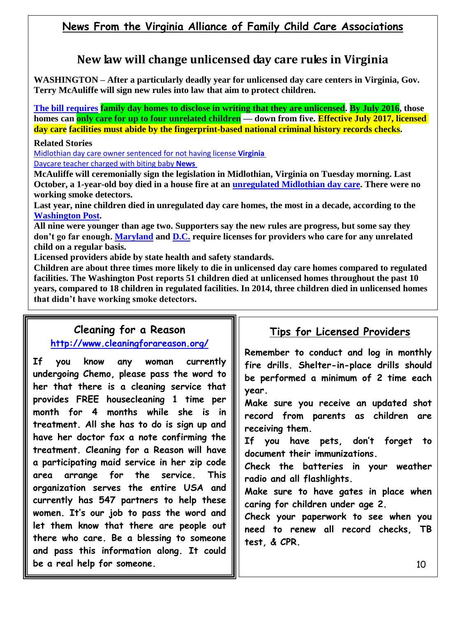# **News From the Virginia Alliance of Family Child Care Associations**

# **New law will change unlicensed day care rules in Virginia**

**WASHINGTON – After a particularly deadly year for unlicensed day care centers in Virginia, Gov. Terry McAuliffe will sign new rules into law that aim to protect children.**

**[The bill requires](http://leg1.state.va.us/cgi-bin/legp504.exe?151+sum+HB1570%20) family day homes to disclose in writing that they are unlicensed. By July 2016, those homes can only care for up to four unrelated children — down from five. Effective July 2017, licensed day care facilities must abide by the fingerprint-based national criminal history records checks.**

#### **Related Stories**

I

[Midlothian day care owner sentenced for not having license](http://wtop.com/virginia/2015/03/midlothian-day-care-owner-sentenced-for-not-having-license/) **Virginia** [Daycare teacher charged with biting baby](http://wtop.com/news/2014/09/daycare-teacher-charged-with-biting-baby/) **News**

**McAuliffe will ceremonially sign the legislation in Midlothian, Virginia on Tuesday morning. Last October, a 1-year-old boy died in a house fire at an [unregulated Midlothian day care.](http://wtop.com/virginia/2015/03/midlothian-day-care-owner-sentenced-for-not-having-license/) There were no working smoke detectors.**

**Last year, nine children died in unregulated day care homes, the most in a decade, according to the [Washington Post.](http://www.washingtonpost.com/investigations/nine-va-children-died-in-unregulated-day-care-in-2014-the-deadliest-year-in-a-decade/2014/12/30/bf302040-8161-11e4-81fd-8c4814dfa9d7_story.html)**

**All nine were younger than age two. Supporters say the new rules are progress, but some say they don't go far enough. [Maryland](http://www.msde.maryland.gov/MSDE/divisions/child_care/licensing_branch/find.html) and [D.C.](http://osse.dc.gov/service/licensing-early-learning-providers) require licenses for providers who care for any unrelated child on a regular basis.**

**Licensed providers abide by state health and safety standards.**

**Children are about three times more likely to die in unlicensed day care homes compared to regulated facilities. The Washington Post reports 51 children died at unlicensed homes throughout the past 10 years, compared to 18 children in regulated facilities. In 2014, three children died in unlicensed homes that didn't have working smoke detectors.**

**<http://www.cleaningforareason.org/>**

**If you know any woman currently undergoing Chemo, please pass the word to her that there is a cleaning service that provides FREE housecleaning 1 time per month for 4 months while she is in treatment. All she has to do is sign up and have her doctor fax a note confirming the treatment. Cleaning for a Reason will have a participating maid service in her zip code area arrange for the service. This organization serves the entire USA and currently has 547 partners to help these women. It's our job to pass the word and let them know that there are people out there who care. Be a blessing to someone and pass this information along. It could be a real help for someone.**

# **Cleaning for a Reason Tips for Licensed Providers**

**Remember to conduct and log in monthly fire drills. Shelter-in-place drills should be performed a minimum of 2 time each year.**

**Make sure you receive an updated shot record from parents as children are receiving them.**

**If you have pets, don't forget to document their immunizations.**

**Check the batteries in your weather radio and all flashlights.**

**Make sure to have gates in place when caring for children under age 2.**

**Check your paperwork to see when you need to renew all record checks, TB test, & CPR.**